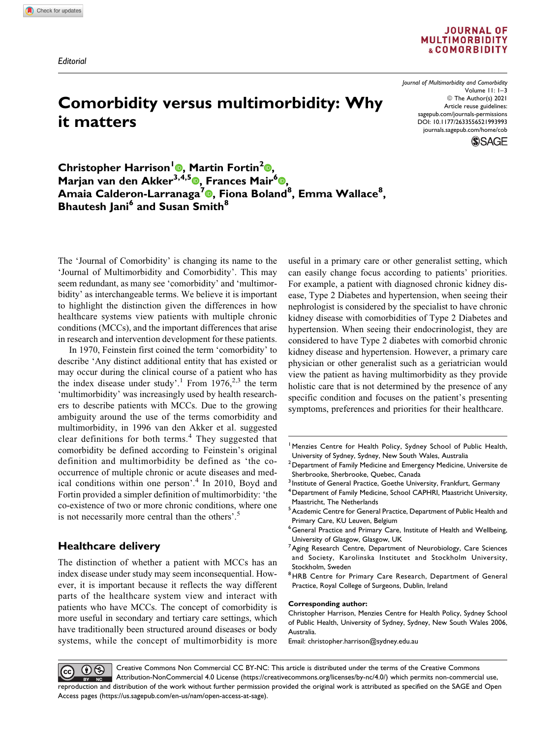*Editorial*

# **Comorbidity versus multimorbidity: Why it matters**

*Journal of Multimorbidity and Comorbidity* Volume 11: 1–3 © The Author(s) 2021 Article reuse guidelines: [sagepub.com/journals-permissions](https://sagepub.com/journals-permissions) [DOI: 10.1177/2633556521993993](https://doi.org/10.1177/2633556521993993) [journals.sagepub.com/home/cob](http://journals.sagepub.com/home/cob)



**Christopher Harrison[1](https://orcid.org/0000-0002-8769-6877) , Martin Fortin<sup>2</sup> , Marjan van den Akker3,4,[5](https://orcid.org/0000-0002-1022-8637) , Frances Mair<sup>6</sup> , Amaia Calderon-Larranaga<sup>7</sup> [,](https://orcid.org/0000-0001-9064-9222) Fiona Boland<sup>8</sup> , Emma Wallace<sup>8</sup> , Bhautesh Jani6 and Susan Smith<sup>8</sup>**

The 'Journal of Comorbidity' is changing its name to the 'Journal of Multimorbidity and Comorbidity'. This may seem redundant, as many see 'comorbidity' and 'multimorbidity' as interchangeable terms. We believe it is important to highlight the distinction given the differences in how healthcare systems view patients with multiple chronic conditions (MCCs), and the important differences that arise in research and intervention development for these patients.

In 1970, Feinstein first coined the term 'comorbidity' to describe 'Any distinct additional entity that has existed or may occur during the clinical course of a patient who has the index disease under study'.<sup>1</sup> From 1976,<sup>2,3</sup> the term 'multimorbidity' was increasingly used by health researchers to describe patients with MCCs. Due to the growing ambiguity around the use of the terms comorbidity and multimorbidity, in 1996 van den Akker et al. suggested clear definitions for both terms. $4$  They suggested that comorbidity be defined according to Feinstein's original definition and multimorbidity be defined as 'the cooccurrence of multiple chronic or acute diseases and medical conditions within one person'.<sup>4</sup> In 2010, Boyd and Fortin provided a simpler definition of multimorbidity: 'the co-existence of two or more chronic conditions, where one is not necessarily more central than the others'.<sup>5</sup>

## **Healthcare delivery**

The distinction of whether a patient with MCCs has an index disease under study may seem inconsequential. However, it is important because it reflects the way different parts of the healthcare system view and interact with patients who have MCCs. The concept of comorbidity is more useful in secondary and tertiary care settings, which have traditionally been structured around diseases or body systems, while the concept of multimorbidity is more

useful in a primary care or other generalist setting, which can easily change focus according to patients' priorities. For example, a patient with diagnosed chronic kidney disease, Type 2 Diabetes and hypertension, when seeing their nephrologist is considered by the specialist to have chronic kidney disease with comorbidities of Type 2 Diabetes and hypertension. When seeing their endocrinologist, they are considered to have Type 2 diabetes with comorbid chronic kidney disease and hypertension. However, a primary care physician or other generalist such as a geriatrician would view the patient as having multimorbidity as they provide holistic care that is not determined by the presence of any specific condition and focuses on the patient's presenting symptoms, preferences and priorities for their healthcare.

- <sup>5</sup> Academic Centre for General Practice, Department of Public Health and Primary Care, KU Leuven, Belgium
- 6 General Practice and Primary Care, Institute of Health and Wellbeing, University of Glasgow, Glasgow, UK
- <sup>7</sup> Aging Research Centre, Department of Neurobiology, Care Sciences and Society, Karolinska Institutet and Stockholm University, Stockholm, Sweden
- 8HRB Centre for Primary Care Research, Department of General Practice, Royal College of Surgeons, Dublin, Ireland

#### **Corresponding author:**

Christopher Harrison, Menzies Centre for Health Policy, Sydney School of Public Health, University of Sydney, Sydney, New South Wales 2006, Australia.

Email: [christopher.harrison@sydney.edu.au](mailto:christopher.harrison@sydney.edu.au)

Creative Commons Non Commercial CC BY-NC: This article is distributed under the terms of the Creative Commons  $\Theta$ Attribution-NonCommercial 4.0 License ([https://creativecommons.org/licenses/by-nc/4.0/\)](https://creativecommons.org/licenses/by-nc/4.0/) which permits non-commercial use, reproduction and distribution of the work without further permission provided the original work is attributed as specified on the SAGE and Open Access pages (<https://us.sagepub.com/en-us/nam/open-access-at-sage>).

<sup>&</sup>lt;sup>1</sup> Menzies Centre for Health Policy, Sydney School of Public Health, University of Sydney, Sydney, New South Wales, Australia

<sup>&</sup>lt;sup>2</sup> Department of Family Medicine and Emergency Medicine, Universite de Sherbrooke, Sherbrooke, Quebec, Canada

<sup>&</sup>lt;sup>3</sup> Institute of General Practice, Goethe University, Frankfurt, Germany 4Department of Family Medicine, School CAPHRI, Maastricht University, Maastricht, The Netherlands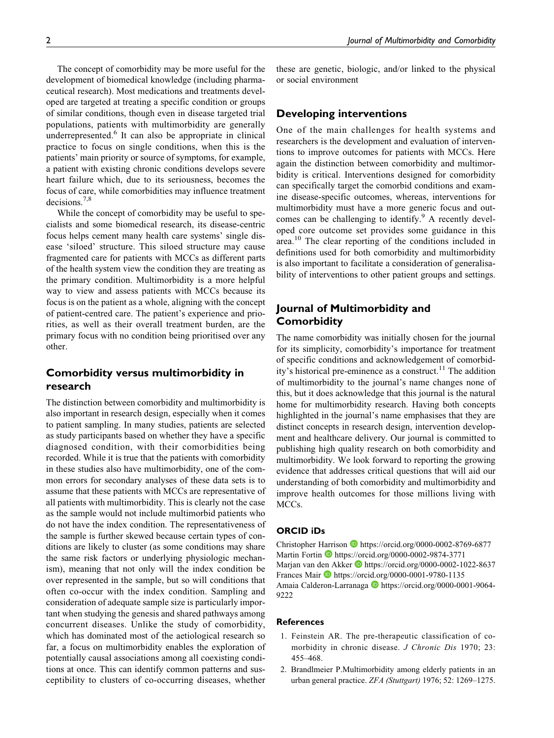The concept of comorbidity may be more useful for the development of biomedical knowledge (including pharmaceutical research). Most medications and treatments developed are targeted at treating a specific condition or groups of similar conditions, though even in disease targeted trial populations, patients with multimorbidity are generally underrepresented.<sup>6</sup> It can also be appropriate in clinical practice to focus on single conditions, when this is the patients' main priority or source of symptoms, for example, a patient with existing chronic conditions develops severe heart failure which, due to its seriousness, becomes the focus of care, while comorbidities may influence treatment decisions.7,8

While the concept of comorbidity may be useful to specialists and some biomedical research, its disease-centric focus helps cement many health care systems' single disease 'siloed' structure. This siloed structure may cause fragmented care for patients with MCCs as different parts of the health system view the condition they are treating as the primary condition. Multimorbidity is a more helpful way to view and assess patients with MCCs because its focus is on the patient as a whole, aligning with the concept of patient-centred care. The patient's experience and priorities, as well as their overall treatment burden, are the primary focus with no condition being prioritised over any other.

## **Comorbidity versus multimorbidity in research**

The distinction between comorbidity and multimorbidity is also important in research design, especially when it comes to patient sampling. In many studies, patients are selected as study participants based on whether they have a specific diagnosed condition, with their comorbidities being recorded. While it is true that the patients with comorbidity in these studies also have multimorbidity, one of the common errors for secondary analyses of these data sets is to assume that these patients with MCCs are representative of all patients with multimorbidity. This is clearly not the case as the sample would not include multimorbid patients who do not have the index condition. The representativeness of the sample is further skewed because certain types of conditions are likely to cluster (as some conditions may share the same risk factors or underlying physiologic mechanism), meaning that not only will the index condition be over represented in the sample, but so will conditions that often co-occur with the index condition. Sampling and consideration of adequate sample size is particularly important when studying the genesis and shared pathways among concurrent diseases. Unlike the study of comorbidity, which has dominated most of the aetiological research so far, a focus on multimorbidity enables the exploration of potentially causal associations among all coexisting conditions at once. This can identify common patterns and susceptibility to clusters of co-occurring diseases, whether

these are genetic, biologic, and/or linked to the physical or social environment

## **Developing interventions**

One of the main challenges for health systems and researchers is the development and evaluation of interventions to improve outcomes for patients with MCCs. Here again the distinction between comorbidity and multimorbidity is critical. Interventions designed for comorbidity can specifically target the comorbid conditions and examine disease-specific outcomes, whereas, interventions for multimorbidity must have a more generic focus and outcomes can be challenging to identify.<sup>9</sup> A recently developed core outcome set provides some guidance in this area.<sup>10</sup> The clear reporting of the conditions included in definitions used for both comorbidity and multimorbidity is also important to facilitate a consideration of generalisability of interventions to other patient groups and settings.

# **Journal of Multimorbidity and Comorbidity**

The name comorbidity was initially chosen for the journal for its simplicity, comorbidity's importance for treatment of specific conditions and acknowledgement of comorbidity's historical pre-eminence as a construct.<sup>11</sup> The addition of multimorbidity to the journal's name changes none of this, but it does acknowledge that this journal is the natural home for multimorbidity research. Having both concepts highlighted in the journal's name emphasises that they are distinct concepts in research design, intervention development and healthcare delivery. Our journal is committed to publishing high quality research on both comorbidity and multimorbidity. We look forward to reporting the growing evidence that addresses critical questions that will aid our understanding of both comorbidity and multimorbidity and improve health outcomes for those millions living with MCCs.

### **ORCID iDs**

Christopher Harrison D <https://orcid.org/0000-0002-8769-6877> Martin Fortin D <https://orcid.org/0000-0002-9874-3771> Marjan van den Akker <sup>1</sup> <https://orcid.org/0000-0002-1022-8637> Frances Mair D <https://orcid.org/0000-0001-9780-1135> Amaia Calderon-Larranaga D [https://orcid.org/0000-0001-9064-](https://orcid.org/0000-0001-9064-9222) [9222](https://orcid.org/0000-0001-9064-9222)

#### **References**

- 1. Feinstein AR. The pre-therapeutic classification of comorbidity in chronic disease. J Chronic Dis 1970; 23: 455–468.
- 2. Brandlmeier P.Multimorbidity among elderly patients in an urban general practice. ZFA (Stuttgart) 1976; 52: 1269–1275.